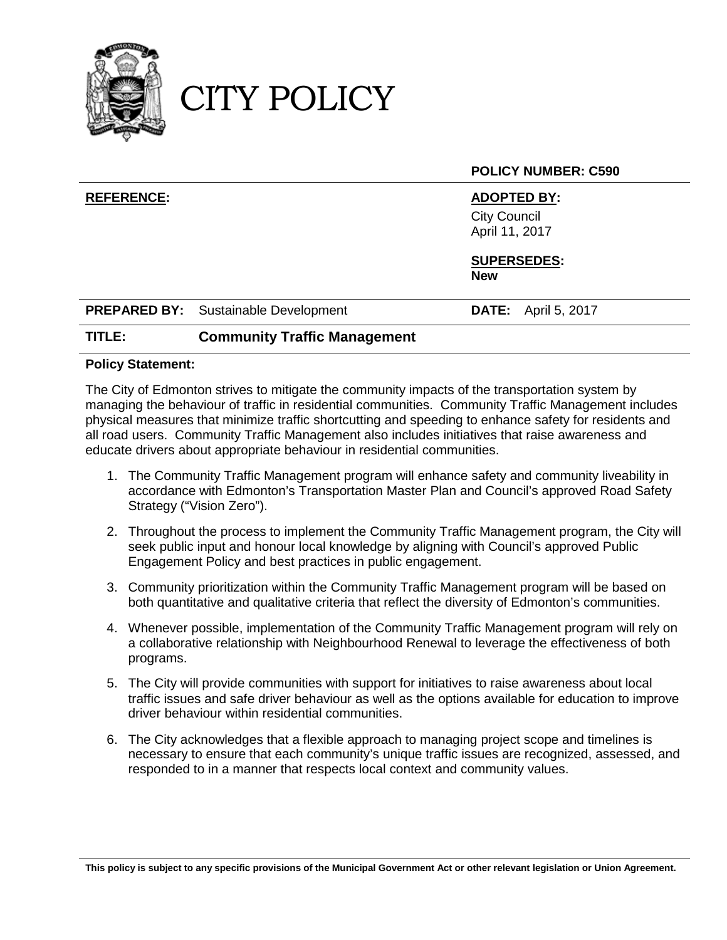

CITY POLICY

|                   |                                             | <b>POLICY NUMBER: C590</b>            |
|-------------------|---------------------------------------------|---------------------------------------|
| <b>REFERENCE:</b> |                                             | <b>ADOPTED BY:</b>                    |
|                   |                                             | <b>City Council</b><br>April 11, 2017 |
|                   |                                             | <b>SUPERSEDES:</b><br><b>New</b>      |
|                   | <b>PREPARED BY:</b> Sustainable Development | <b>DATE:</b> April 5, 2017            |
| TITLE:            | <b>Community Traffic Management</b>         |                                       |

## **Policy Statement:**

The City of Edmonton strives to mitigate the community impacts of the transportation system by managing the behaviour of traffic in residential communities. Community Traffic Management includes physical measures that minimize traffic shortcutting and speeding to enhance safety for residents and all road users. Community Traffic Management also includes initiatives that raise awareness and educate drivers about appropriate behaviour in residential communities.

- 1. The Community Traffic Management program will enhance safety and community liveability in accordance with Edmonton's Transportation Master Plan and Council's approved Road Safety Strategy ("Vision Zero").
- 2. Throughout the process to implement the Community Traffic Management program, the City will seek public input and honour local knowledge by aligning with Council's approved Public Engagement Policy and best practices in public engagement.
- 3. Community prioritization within the Community Traffic Management program will be based on both quantitative and qualitative criteria that reflect the diversity of Edmonton's communities.
- 4. Whenever possible, implementation of the Community Traffic Management program will rely on a collaborative relationship with Neighbourhood Renewal to leverage the effectiveness of both programs.
- 5. The City will provide communities with support for initiatives to raise awareness about local traffic issues and safe driver behaviour as well as the options available for education to improve driver behaviour within residential communities.
- 6. The City acknowledges that a flexible approach to managing project scope and timelines is necessary to ensure that each community's unique traffic issues are recognized, assessed, and responded to in a manner that respects local context and community values.